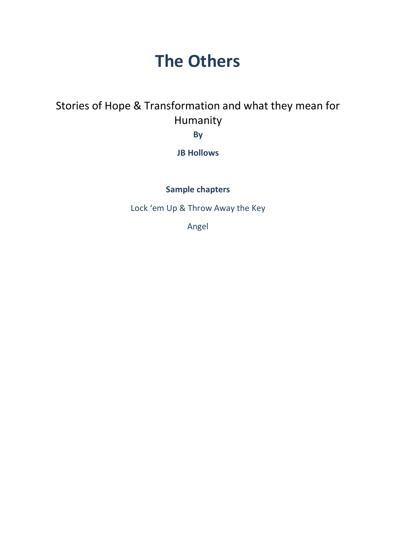# **The Others**

## Stories of Hope & Transformation and what they mean for Humanity

**By** 

**JB Hollows**

### **Sample chapters**

Lock 'em Up & Throw Away the Key

Angel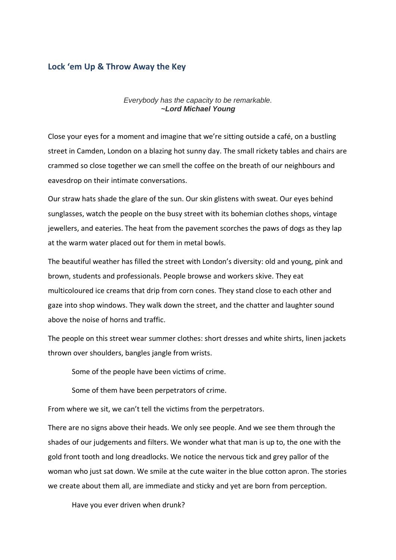#### **Lock 'em Up & Throw Away the Key**

#### *Everybody has the capacity to be remarkable. ~Lord Michael Young*

Close your eyes for a moment and imagine that we're sitting outside a café, on a bustling street in Camden, London on a blazing hot sunny day. The small rickety tables and chairs are crammed so close together we can smell the coffee on the breath of our neighbours and eavesdrop on their intimate conversations.

Our straw hats shade the glare of the sun. Our skin glistens with sweat. Our eyes behind sunglasses, watch the people on the busy street with its bohemian clothes shops, vintage jewellers, and eateries. The heat from the pavement scorches the paws of dogs as they lap at the warm water placed out for them in metal bowls.

The beautiful weather has filled the street with London's diversity: old and young, pink and brown, students and professionals. People browse and workers skive. They eat multicoloured ice creams that drip from corn cones. They stand close to each other and gaze into shop windows. They walk down the street, and the chatter and laughter sound above the noise of horns and traffic.

The people on this street wear summer clothes: short dresses and white shirts, linen jackets thrown over shoulders, bangles jangle from wrists.

Some of the people have been victims of crime.

Some of them have been perpetrators of crime.

From where we sit, we can't tell the victims from the perpetrators.

There are no signs above their heads. We only see people. And we see them through the shades of our judgements and filters. We wonder what that man is up to, the one with the gold front tooth and long dreadlocks. We notice the nervous tick and grey pallor of the woman who just sat down. We smile at the cute waiter in the blue cotton apron. The stories we create about them all, are immediate and sticky and yet are born from perception.

Have you ever driven when drunk?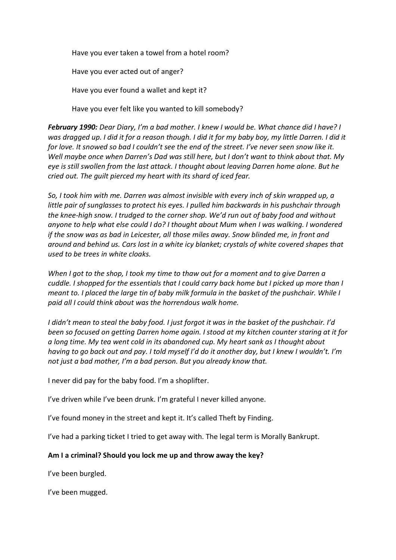Have you ever taken a towel from a hotel room?

Have you ever acted out of anger?

Have you ever found a wallet and kept it?

Have you ever felt like you wanted to kill somebody?

*February 1990: Dear Diary, I'm a bad mother. I knew I would be. What chance did I have? I was dragged up. I did it for a reason though. I did it for my baby boy, my little Darren. I did it for love. It snowed so bad I couldn't see the end of the street. I've never seen snow like it. Well maybe once when Darren's Dad was still here, but I don't want to think about that. My eye is still swollen from the last attack. I thought about leaving Darren home alone. But he cried out. The guilt pierced my heart with its shard of iced fear.* 

*So, I took him with me. Darren was almost invisible with every inch of skin wrapped up, a little pair of sunglasses to protect his eyes. I pulled him backwards in his pushchair through the knee-high snow. I trudged to the corner shop. We'd run out of baby food and without anyone to help what else could I do? I thought about Mum when I was walking. I wondered if the snow was as bad in Leicester, all those miles away. Snow blinded me, in front and around and behind us. Cars lost in a white icy blanket; crystals of white covered shapes that used to be trees in white cloaks.* 

*When I got to the shop, I took my time to thaw out for a moment and to give Darren a cuddle. I shopped for the essentials that I could carry back home but I picked up more than I meant to. I placed the large tin of baby milk formula in the basket of the pushchair. While I paid all I could think about was the horrendous walk home.* 

*I didn't mean to steal the baby food. I just forgot it was in the basket of the pushchair. I'd been so focused on getting Darren home again. I stood at my kitchen counter staring at it for a long time. My tea went cold in its abandoned cup. My heart sank as I thought about having to go back out and pay. I told myself I'd do it another day, but I knew I wouldn't. I'm not just a bad mother, I'm a bad person. But you already know that.*

I never did pay for the baby food. I'm a shoplifter.

I've driven while I've been drunk. I'm grateful I never killed anyone.

I've found money in the street and kept it. It's called Theft by Finding.

I've had a parking ticket I tried to get away with. The legal term is Morally Bankrupt.

#### **Am I a criminal? Should you lock me up and throw away the key?**

I've been burgled.

I've been mugged.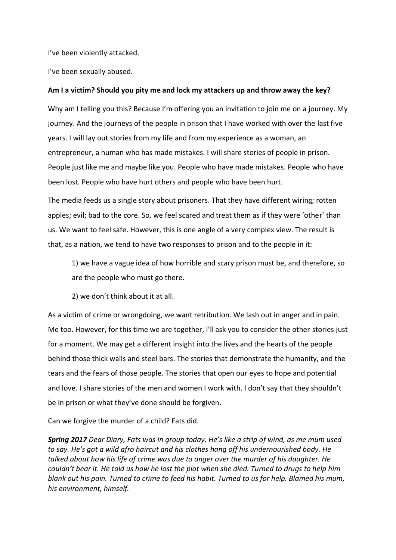I've been violently attacked.

I've been sexually abused.

#### **Am I a victim? Should you pity me and lock my attackers up and throw away the key?**

Why am I telling you this? Because I'm offering you an invitation to join me on a journey. My journey. And the journeys of the people in prison that I have worked with over the last five years. I will lay out stories from my life and from my experience as a woman, an entrepreneur, a human who has made mistakes. I will share stories of people in prison. People just like me and maybe like you. People who have made mistakes. People who have been lost. People who have hurt others and people who have been hurt.

The media feeds us a single story about prisoners. That they have different wiring; rotten apples; evil; bad to the core. So, we feel scared and treat them as if they were 'other' than us. We want to feel safe. However, this is one angle of a very complex view. The result is that, as a nation, we tend to have two responses to prison and to the people in it:

1) we have a vague idea of how horrible and scary prison must be, and therefore, so are the people who must go there.

2) we don't think about it at all.

As a victim of crime or wrongdoing, we want retribution. We lash out in anger and in pain. Me too. However, for this time we are together, I'll ask you to consider the other stories just for a moment. We may get a different insight into the lives and the hearts of the people behind those thick walls and steel bars. The stories that demonstrate the humanity, and the tears and the fears of those people. The stories that open our eyes to hope and potential and love. I share stories of the men and women I work with. I don't say that they shouldn't be in prison or what they've done should be forgiven.

Can we forgive the murder of a child? Fats did.

*Spring 2017 Dear Diary, Fats was in group today. He's like a strip of wind, as me mum used to say. He's got a wild afro haircut and his clothes hang off his undernourished body. He talked about how his life of crime was due to anger over the murder of his daughter. He couldn't bear it. He told us how he lost the plot when she died. Turned to drugs to help him blank out his pain. Turned to crime to feed his habit. Turned to us for help. Blamed his mum, his environment, himself.*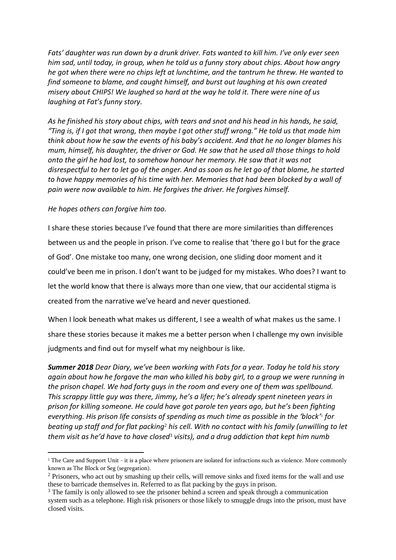*Fats' daughter was run down by a drunk driver. Fats wanted to kill him. I've only ever seen him sad, until today, in group, when he told us a funny story about chips. About how angry he got when there were no chips left at lunchtime, and the tantrum he threw. He wanted to find someone to blame, and caught himself, and burst out laughing at his own created misery about CHIPS! We laughed so hard at the way he told it. There were nine of us laughing at Fat's funny story.* 

*As he finished his story about chips, with tears and snot and his head in his hands, he said, "Ting is, if I got that wrong, then maybe I got other stuff wrong." He told us that made him think about how he saw the events of his baby's accident. And that he no longer blames his mum, himself, his daughter, the driver or God. He saw that he used all those things to hold onto the girl he had lost, to somehow honour her memory. He saw that it was not disrespectful to her to let go of the anger. And as soon as he let go of that blame, he started to have happy memories of his time with her. Memories that had been blocked by a wall of pain were now available to him. He forgives the driver. He forgives himself.*

#### *He hopes others can forgive him too.*

I share these stories because I've found that there are more similarities than differences between us and the people in prison. I've come to realise that 'there go I but for the grace of God'. One mistake too many, one wrong decision, one sliding door moment and it could've been me in prison. I don't want to be judged for my mistakes. Who does? I want to let the world know that there is always more than one view, that our accidental stigma is created from the narrative we've heard and never questioned.

When I look beneath what makes us different, I see a wealth of what makes us the same. I share these stories because it makes me a better person when I challenge my own invisible judgments and find out for myself what my neighbour is like.

*Summer 2018 Dear Diary, we've been working with Fats for a year. Today he told his story again about how he forgave the man who killed his baby girl, to a group we were running in the prison chapel. We had forty guys in the room and every one of them was spellbound. This scrappy little guy was there, Jimmy, he's a lifer; he's already spent nineteen years in prison for killing someone. He could have got parole ten years ago, but he's been fighting everything. His prison life consists of spending as much time as possible in the 'block'* <sup>1</sup> *for beating up staff and for flat packing*<sup>2</sup> *his cell. With no contact with his family (unwilling to let them visit as he'd have to have closed*<sup>3</sup> *visits), and a drug addiction that kept him numb* 

<sup>&</sup>lt;sup>1</sup> The Care and Support Unit - it is a place where prisoners are isolated for infractions such as violence. More commonly known as The Block or Seg (segregation).

<sup>&</sup>lt;sup>2</sup> Prisoners, who act out by smashing up their cells, will remove sinks and fixed items for the wall and use these to barricade themselves in. Referred to as flat packing by the guys in prison.

<sup>&</sup>lt;sup>3</sup> The family is only allowed to see the prisoner behind a screen and speak through a communication system such as a telephone. High risk prisoners or those likely to smuggle drugs into the prison, must have closed visits.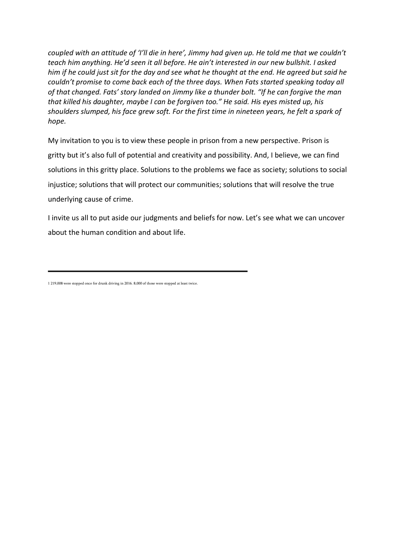*coupled with an attitude of 'I'll die in here', Jimmy had given up. He told me that we couldn't teach him anything. He'd seen it all before. He ain't interested in our new bullshit. I asked him if he could just sit for the day and see what he thought at the end. He agreed but said he couldn't promise to come back each of the three days. When Fats started speaking today all of that changed. Fats' story landed on Jimmy like a thunder bolt. "If he can forgive the man that killed his daughter, maybe I can be forgiven too." He said. His eyes misted up, his shoulders slumped, his face grew soft. For the first time in nineteen years, he felt a spark of hope.*

My invitation to you is to view these people in prison from a new perspective. Prison is gritty but it's also full of potential and creativity and possibility. And, I believe, we can find solutions in this gritty place. Solutions to the problems we face as society; solutions to social injustice; solutions that will protect our communities; solutions that will resolve the true underlying cause of crime.

I invite us all to put aside our judgments and beliefs for now. Let's see what we can uncover about the human condition and about life.

<sup>1 219,008</sup> were stopped once for drunk driving in 2016. 8,000 of those were stopped at least twice.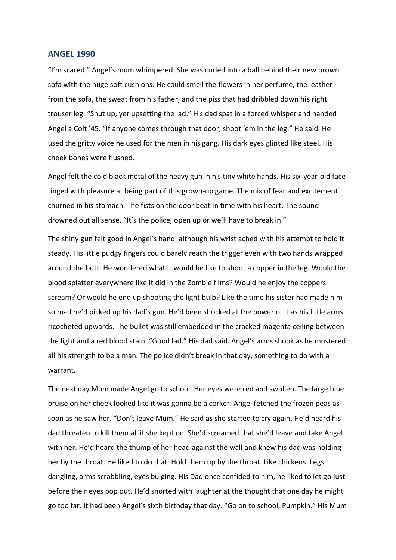#### **ANGEL 1990**

"I'm scared." Angel's mum whimpered. She was curled into a ball behind their new brown sofa with the huge soft cushions. He could smell the flowers in her perfume, the leather from the sofa, the sweat from his father, and the piss that had dribbled down his right trouser leg. "Shut up, yer upsetting the lad." His dad spat in a forced whisper and handed Angel a Colt '45. "If anyone comes through that door, shoot 'em in the leg." He said. He used the gritty voice he used for the men in his gang. His dark eyes glinted like steel. His cheek bones were flushed.

Angel felt the cold black metal of the heavy gun in his tiny white hands. His six-year-old face tinged with pleasure at being part of this grown-up game. The mix of fear and excitement churned in his stomach. The fists on the door beat in time with his heart. The sound drowned out all sense. "It's the police, open up or we'll have to break in."

The shiny gun felt good in Angel's hand, although his wrist ached with his attempt to hold it steady. His little pudgy fingers could barely reach the trigger even with two hands wrapped around the butt. He wondered what it would be like to shoot a copper in the leg. Would the blood splatter everywhere like it did in the Zombie films? Would he enjoy the coppers scream? Or would he end up shooting the light bulb? Like the time his sister had made him so mad he'd picked up his dad's gun. He'd been shocked at the power of it as his little arms ricocheted upwards. The bullet was still embedded in the cracked magenta ceiling between the light and a red blood stain. "Good lad." His dad said. Angel's arms shook as he mustered all his strength to be a man. The police didn't break in that day, something to do with a warrant.

The next day Mum made Angel go to school. Her eyes were red and swollen. The large blue bruise on her cheek looked like it was gonna be a corker. Angel fetched the frozen peas as soon as he saw her. "Don't leave Mum." He said as she started to cry again. He'd heard his dad threaten to kill them all if she kept on. She'd screamed that she'd leave and take Angel with her. He'd heard the thump of her head against the wall and knew his dad was holding her by the throat. He liked to do that. Hold them up by the throat. Like chickens. Legs dangling, arms scrabbling, eyes bulging. His Dad once confided to him, he liked to let go just before their eyes pop out. He'd snorted with laughter at the thought that one day he might go too far. It had been Angel's sixth birthday that day. "Go on to school, Pumpkin." His Mum